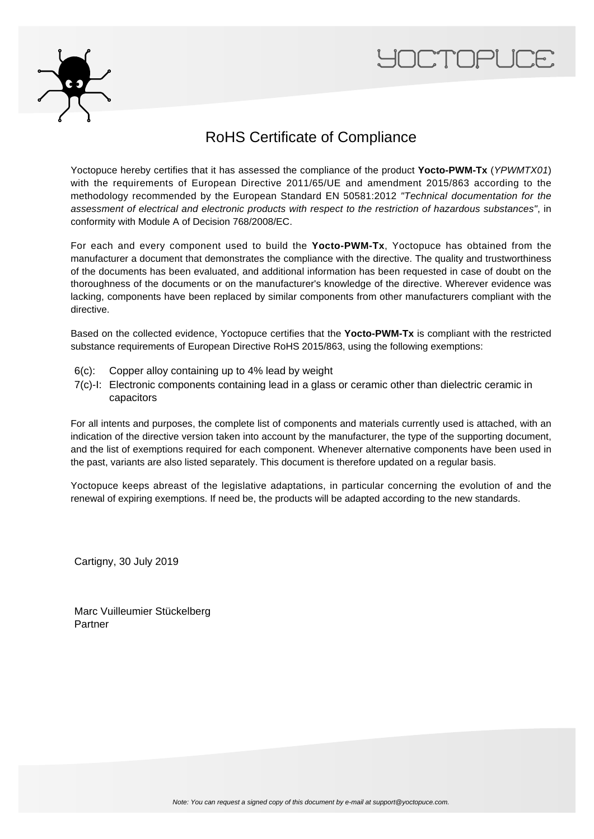



## RoHS Certificate of Compliance

Yoctopuce hereby certifies that it has assessed the compliance of the product **Yocto-PWM-Tx** (YPWMTX01) with the requirements of European Directive 2011/65/UE and amendment 2015/863 according to the methodology recommended by the European Standard EN 50581:2012 "Technical documentation for the assessment of electrical and electronic products with respect to the restriction of hazardous substances", in conformity with Module A of Decision 768/2008/EC.

For each and every component used to build the **Yocto-PWM-Tx**, Yoctopuce has obtained from the manufacturer a document that demonstrates the compliance with the directive. The quality and trustworthiness of the documents has been evaluated, and additional information has been requested in case of doubt on the thoroughness of the documents or on the manufacturer's knowledge of the directive. Wherever evidence was lacking, components have been replaced by similar components from other manufacturers compliant with the directive.

Based on the collected evidence, Yoctopuce certifies that the **Yocto-PWM-Tx** is compliant with the restricted substance requirements of European Directive RoHS 2015/863, using the following exemptions:

- 6(c): Copper alloy containing up to 4% lead by weight
- 7(c)-I: Electronic components containing lead in a glass or ceramic other than dielectric ceramic in capacitors

For all intents and purposes, the complete list of components and materials currently used is attached, with an indication of the directive version taken into account by the manufacturer, the type of the supporting document, and the list of exemptions required for each component. Whenever alternative components have been used in the past, variants are also listed separately. This document is therefore updated on a regular basis.

Yoctopuce keeps abreast of the legislative adaptations, in particular concerning the evolution of and the renewal of expiring exemptions. If need be, the products will be adapted according to the new standards.

Cartigny, 30 July 2019

Marc Vuilleumier Stückelberg Partner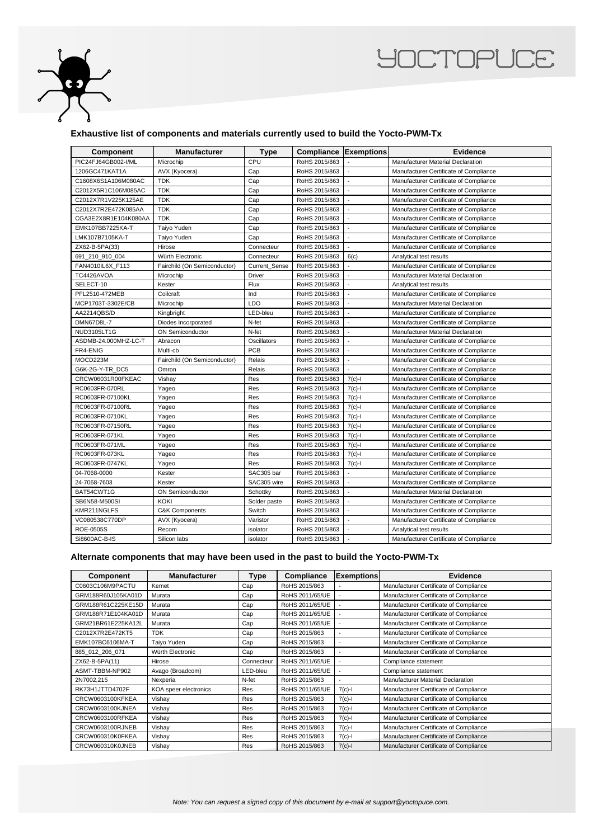

## **YOCTOPUCE**

## **Exhaustive list of components and materials currently used to build the Yocto-PWM-Tx**

| Component            | <b>Manufacturer</b>          | <b>Type</b>   | <b>Compliance Exemptions</b> |                          | <b>Evidence</b>                          |
|----------------------|------------------------------|---------------|------------------------------|--------------------------|------------------------------------------|
| PIC24FJ64GB002-I/ML  | Microchip                    | CPU           | RoHS 2015/863                |                          | Manufacturer Material Declaration        |
| 1206GC471KAT1A       | AVX (Kyocera)                | Cap           | RoHS 2015/863                |                          | Manufacturer Certificate of Compliance   |
| C1608X6S1A106M080AC  | <b>TDK</b>                   | Cap           | RoHS 2015/863                |                          | Manufacturer Certificate of Compliance   |
| C2012X5R1C106M085AC  | <b>TDK</b>                   | Cap           | RoHS 2015/863                |                          | Manufacturer Certificate of Compliance   |
| C2012X7R1V225K125AE  | <b>TDK</b>                   | Cap           | RoHS 2015/863                |                          | Manufacturer Certificate of Compliance   |
| C2012X7R2E472K085AA  | <b>TDK</b>                   | Cap           | RoHS 2015/863                |                          | Manufacturer Certificate of Compliance   |
| CGA3E2X8R1E104K080AA | <b>TDK</b>                   | Cap           | RoHS 2015/863                | $\overline{\phantom{a}}$ | Manufacturer Certificate of Compliance   |
| EMK107BB7225KA-T     | Taiyo Yuden                  | Cap           | RoHS 2015/863                |                          | Manufacturer Certificate of Compliance   |
| LMK107B7105KA-T      | Taiyo Yuden                  | Cap           | RoHS 2015/863                | $\overline{\phantom{a}}$ | Manufacturer Certificate of Compliance   |
| ZX62-B-5PA(33)       | Hirose                       | Connecteur    | RoHS 2015/863                |                          | Manufacturer Certificate of Compliance   |
| 691 210 910 004      | Würth Electronic             | Connecteur    | RoHS 2015/863                | 6(c)                     | Analytical test results                  |
| FAN4010IL6X F113     | Fairchild (On Semiconductor) | Current Sense | RoHS 2015/863                |                          | Manufacturer Certificate of Compliance   |
| TC4426AVOA           | Microchip                    | Driver        | RoHS 2015/863                |                          | Manufacturer Material Declaration        |
| SELECT-10            | Kester                       | Flux          | RoHS 2015/863                |                          | Analytical test results                  |
| PFL2510-472MEB       | Coilcraft                    | Ind           | RoHS 2015/863                |                          | Manufacturer Certificate of Compliance   |
| MCP1703T-3302E/CB    | Microchip                    | LDO           | RoHS 2015/863                | ÷,                       | Manufacturer Material Declaration        |
| AA2214QBS/D          | Kingbright                   | LED-bleu      | RoHS 2015/863                |                          | Manufacturer Certificate of Compliance   |
| <b>DMN67D8L-7</b>    | Diodes Incorporated          | N-fet         | RoHS 2015/863                | $\overline{\phantom{a}}$ | Manufacturer Certificate of Compliance   |
| <b>NUD3105LT1G</b>   | <b>ON Semiconductor</b>      | N-fet         | RoHS 2015/863                |                          | Manufacturer Material Declaration        |
| ASDMB-24.000MHZ-LC-T | Abracon                      | Oscillators   | RoHS 2015/863                | $\blacksquare$           | Manufacturer Certificate of Compliance   |
| FR4-ENIG             | Multi-cb                     | <b>PCB</b>    | RoHS 2015/863                |                          | Manufacturer Certificate of Compliance   |
| MOCD223M             | Fairchild (On Semiconductor) | Relais        | RoHS 2015/863                |                          | Manufacturer Certificate of Compliance   |
| G6K-2G-Y-TR DC5      | Omron                        | Relais        | RoHS 2015/863                |                          | Manufacturer Certificate of Compliance   |
| CRCW06031R00FKEAC    | Vishay                       | Res           | RoHS 2015/863                | $7(c)$ -l                | Manufacturer Certificate of Compliance   |
| RC0603FR-070RL       | Yageo                        | Res           | RoHS 2015/863                | $7(c) - 1$               | Manufacturer Certificate of Compliance   |
| RC0603FR-07100KL     | Yageo                        | Res           | RoHS 2015/863                | $7(c)-1$                 | Manufacturer Certificate of Compliance   |
| RC0603FR-07100RL     | Yageo                        | Res           | RoHS 2015/863                | $7(c)$ -l                | Manufacturer Certificate of Compliance   |
| RC0603FR-0710KL      | Yageo                        | Res           | RoHS 2015/863                | $7(c)-1$                 | Manufacturer Certificate of Compliance   |
| RC0603FR-07150RL     | Yageo                        | Res           | RoHS 2015/863                | $7(c)$ -l                | Manufacturer Certificate of Compliance   |
| RC0603FR-071KL       | Yageo                        | Res           | RoHS 2015/863                | $7(c)-1$                 | Manufacturer Certificate of Compliance   |
| RC0603FR-071ML       | Yageo                        | Res           | RoHS 2015/863                | $7(c) - 1$               | Manufacturer Certificate of Compliance   |
| RC0603FR-073KL       | Yageo                        | Res           | RoHS 2015/863                | $7(c)-1$                 | Manufacturer Certificate of Compliance   |
| RC0603FR-0747KL      | Yageo                        | Res           | RoHS 2015/863                | $7(c)$ -l                | Manufacturer Certificate of Compliance   |
| 04-7068-0000         | Kester                       | SAC305 bar    | RoHS 2015/863                |                          | Manufacturer Certificate of Compliance   |
| 24-7068-7603         | Kester                       | SAC305 wire   | RoHS 2015/863                |                          | Manufacturer Certificate of Compliance   |
| BAT54CWT1G           | <b>ON Semiconductor</b>      | Schottky      | RoHS 2015/863                |                          | <b>Manufacturer Material Declaration</b> |
| SB6N58-M500SI        | <b>KOKI</b>                  | Solder paste  | RoHS 2015/863                |                          | Manufacturer Certificate of Compliance   |
| KMR211NGLFS          | <b>C&amp;K Components</b>    | Switch        | RoHS 2015/863                | $\overline{\phantom{a}}$ | Manufacturer Certificate of Compliance   |
| VC080538C770DP       | AVX (Kyocera)                | Varistor      | RoHS 2015/863                |                          | Manufacturer Certificate of Compliance   |
| ROE-0505S            | Recom                        | isolator      | RoHS 2015/863                | $\overline{\phantom{a}}$ | Analytical test results                  |
| Si8600AC-B-IS        | Silicon labs                 | isolator      | RoHS 2015/863                |                          | Manufacturer Certificate of Compliance   |

## **Alternate components that may have been used in the past to build the Yocto-PWM-Tx**

| <b>Component</b>   | <b>Manufacturer</b>   | <b>Type</b> | Compliance      | <b>Exemptions</b>        | Evidence                               |
|--------------------|-----------------------|-------------|-----------------|--------------------------|----------------------------------------|
| C0603C106M9PACTU   | Kemet                 | Cap         | RoHS 2015/863   |                          | Manufacturer Certificate of Compliance |
| GRM188R60J105KA01D | Murata                | Cap         | RoHS 2011/65/UE |                          | Manufacturer Certificate of Compliance |
| GRM188R61C225KE15D | Murata                | Cap         | RoHS 2011/65/UE |                          | Manufacturer Certificate of Compliance |
| GRM188R71E104KA01D | Murata                | Cap         | RoHS 2011/65/UE |                          | Manufacturer Certificate of Compliance |
| GRM21BR61E225KA12L | Murata                | Cap         | RoHS 2011/65/UE |                          | Manufacturer Certificate of Compliance |
| C2012X7R2E472KT5   | <b>TDK</b>            | Cap         | RoHS 2015/863   | $\overline{\phantom{a}}$ | Manufacturer Certificate of Compliance |
| EMK107BC6106MA-T   | Taiyo Yuden           | Cap         | RoHS 2015/863   | $\blacksquare$           | Manufacturer Certificate of Compliance |
| 885 012 206 071    | Würth Electronic      | Cap         | RoHS 2015/863   | $\blacksquare$           | Manufacturer Certificate of Compliance |
| ZX62-B-5PA(11)     | Hirose                | Connecteur  | RoHS 2011/65/UE |                          | Compliance statement                   |
| ASMT-TBBM-NP902    | Avago (Broadcom)      | LED-bleu    | RoHS 2011/65/UE |                          | Compliance statement                   |
| 2N7002,215         | Nexperia              | N-fet       | RoHS 2015/863   | $\overline{\phantom{a}}$ | Manufacturer Material Declaration      |
| RK73H1JTTD4702F    | KOA speer electronics | Res         | RoHS 2011/65/UE | $7(c)$ -l                | Manufacturer Certificate of Compliance |
| CRCW0603100KFKEA   | Vishay                | Res         | RoHS 2015/863   | $7(c)$ -l                | Manufacturer Certificate of Compliance |
| CRCW0603100KJNEA   | Vishay                | Res         | RoHS 2015/863   | $7(c)$ -l                | Manufacturer Certificate of Compliance |
| CRCW0603100RFKEA   | Vishay                | Res         | RoHS 2015/863   | $7(c)$ -l                | Manufacturer Certificate of Compliance |
| CRCW0603100RJNEB   | Vishay                | Res         | RoHS 2015/863   | $7(c) - 1$               | Manufacturer Certificate of Compliance |
| CRCW060310K0FKEA   | Vishay                | Res         | RoHS 2015/863   | $7(c) - 1$               | Manufacturer Certificate of Compliance |
| CRCW060310K0JNEB   | Vishay                | Res         | RoHS 2015/863   | $7(c)$ -l                | Manufacturer Certificate of Compliance |